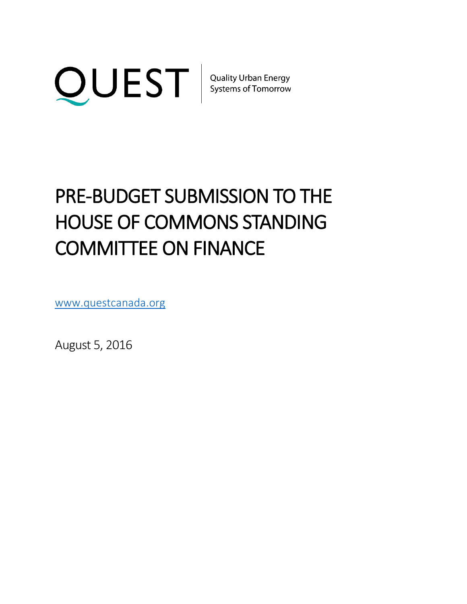

# PRE-BUDGET SUBMISSION TO THE HOUSE OF COMMONS STANDING COMMITTEE ON FINANCE

www.questcanada.org

August 5, 2016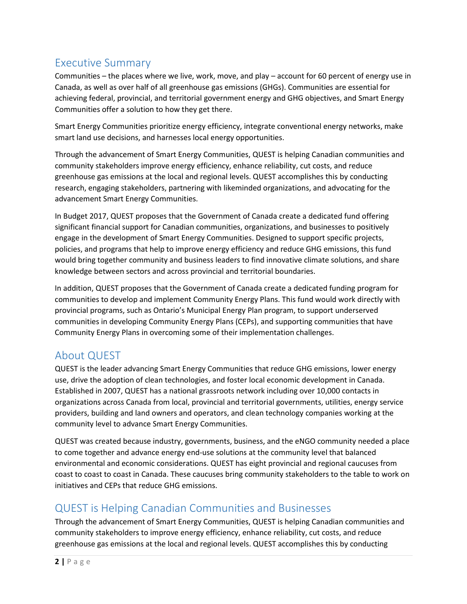### Executive Summary

Communities – the places where we live, work, move, and play – account for 60 percent of energy use in Canada, as well as over half of all greenhouse gas emissions (GHGs). Communities are essential for achieving federal, provincial, and territorial government energy and GHG objectives, and Smart Energy Communities offer a solution to how they get there.

Smart Energy Communities prioritize energy efficiency, integrate conventional energy networks, make smart land use decisions, and harnesses local energy opportunities.

Through the advancement of Smart Energy Communities, QUEST is helping Canadian communities and community stakeholders improve energy efficiency, enhance reliability, cut costs, and reduce greenhouse gas emissions at the local and regional levels. QUEST accomplishes this by conducting research, engaging stakeholders, partnering with likeminded organizations, and advocating for the advancement Smart Energy Communities.

In Budget 2017, QUEST proposes that the Government of Canada create a dedicated fund offering significant financial support for Canadian communities, organizations, and businesses to positively engage in the development of Smart Energy Communities. Designed to support specific projects, policies, and programs that help to improve energy efficiency and reduce GHG emissions, this fund would bring together community and business leaders to find innovative climate solutions, and share knowledge between sectors and across provincial and territorial boundaries.

In addition, QUEST proposes that the Government of Canada create a dedicated funding program for communities to develop and implement Community Energy Plans. This fund would work directly with provincial programs, such as Ontario's Municipal Energy Plan program, to support underserved communities in developing Community Energy Plans (CEPs), and supporting communities that have Community Energy Plans in overcoming some of their implementation challenges.

## About QUEST

QUEST is the leader advancing Smart Energy Communities that reduce GHG emissions, lower energy use, drive the adoption of clean technologies, and foster local economic development in Canada. Established in 2007, QUEST has a national grassroots network including over 10,000 contacts in organizations across Canada from local, provincial and territorial governments, utilities, energy service providers, building and land owners and operators, and clean technology companies working at the community level to advance Smart Energy Communities.

QUEST was created because industry, governments, business, and the eNGO community needed a place to come together and advance energy end-use solutions at the community level that balanced environmental and economic considerations. QUEST has eight provincial and regional caucuses from coast to coast to coast in Canada. These caucuses bring community stakeholders to the table to work on initiatives and CEPs that reduce GHG emissions.

## QUEST is Helping Canadian Communities and Businesses

Through the advancement of Smart Energy Communities, QUEST is helping Canadian communities and community stakeholders to improve energy efficiency, enhance reliability, cut costs, and reduce greenhouse gas emissions at the local and regional levels. QUEST accomplishes this by conducting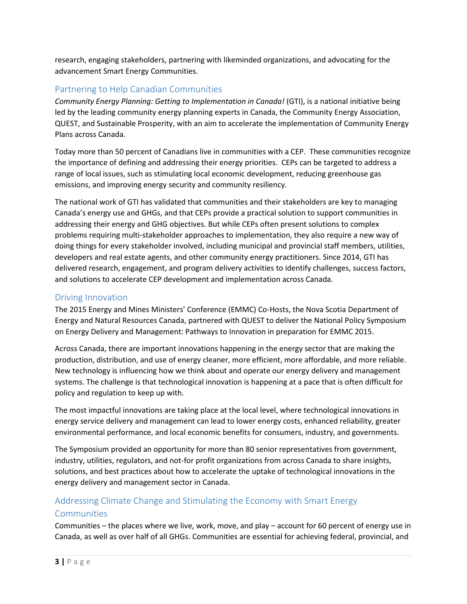research, engaging stakeholders, partnering with likeminded organizations, and advocating for the advancement Smart Energy Communities.

#### Partnering to Help Canadian Communities

*Community Energy Planning: Getting to Implementation in Canada!* (GTI), is a national initiative being led by the leading community energy planning experts in Canada, the Community Energy Association, QUEST, and Sustainable Prosperity, with an aim to accelerate the implementation of Community Energy Plans across Canada.

Today more than 50 percent of Canadians live in communities with a CEP. These communities recognize the importance of defining and addressing their energy priorities. CEPs can be targeted to address a range of local issues, such as stimulating local economic development, reducing greenhouse gas emissions, and improving energy security and community resiliency.

The national work of GTI has validated that communities and their stakeholders are key to managing Canada's energy use and GHGs, and that CEPs provide a practical solution to support communities in addressing their energy and GHG objectives. But while CEPs often present solutions to complex problems requiring multi-stakeholder approaches to implementation, they also require a new way of doing things for every stakeholder involved, including municipal and provincial staff members, utilities, developers and real estate agents, and other community energy practitioners. Since 2014, GTI has delivered research, engagement, and program delivery activities to identify challenges, success factors, and solutions to accelerate CEP development and implementation across Canada.

#### Driving Innovation

The 2015 Energy and Mines Ministers' Conference (EMMC) Co-Hosts, the Nova Scotia Department of Energy and Natural Resources Canada, partnered with QUEST to deliver the National Policy Symposium on Energy Delivery and Management: Pathways to Innovation in preparation for EMMC 2015.

Across Canada, there are important innovations happening in the energy sector that are making the production, distribution, and use of energy cleaner, more efficient, more affordable, and more reliable. New technology is influencing how we think about and operate our energy delivery and management systems. The challenge is that technological innovation is happening at a pace that is often difficult for policy and regulation to keep up with.

The most impactful innovations are taking place at the local level, where technological innovations in energy service delivery and management can lead to lower energy costs, enhanced reliability, greater environmental performance, and local economic benefits for consumers, industry, and governments.

The Symposium provided an opportunity for more than 80 senior representatives from government, industry, utilities, regulators, and not-for profit organizations from across Canada to share insights, solutions, and best practices about how to accelerate the uptake of technological innovations in the energy delivery and management sector in Canada.

## Addressing Climate Change and Stimulating the Economy with Smart Energy

#### **Communities**

Communities – the places where we live, work, move, and play – account for 60 percent of energy use in Canada, as well as over half of all GHGs. Communities are essential for achieving federal, provincial, and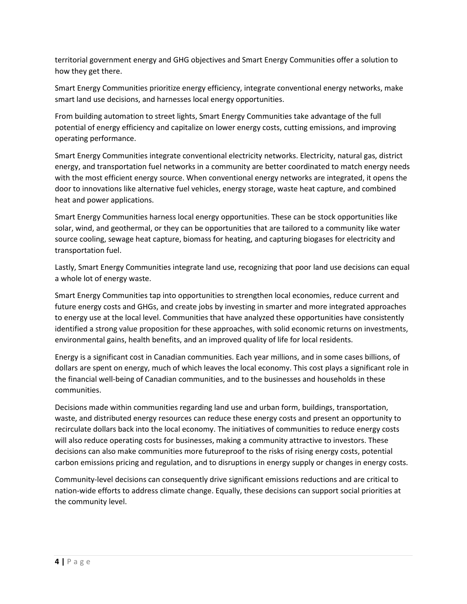territorial government energy and GHG objectives and Smart Energy Communities offer a solution to how they get there.

Smart Energy Communities prioritize energy efficiency, integrate conventional energy networks, make smart land use decisions, and harnesses local energy opportunities.

From building automation to street lights, Smart Energy Communities take advantage of the full potential of energy efficiency and capitalize on lower energy costs, cutting emissions, and improving operating performance.

Smart Energy Communities integrate conventional electricity networks. Electricity, natural gas, district energy, and transportation fuel networks in a community are better coordinated to match energy needs with the most efficient energy source. When conventional energy networks are integrated, it opens the door to innovations like alternative fuel vehicles, energy storage, waste heat capture, and combined heat and power applications.

Smart Energy Communities harness local energy opportunities. These can be stock opportunities like solar, wind, and geothermal, or they can be opportunities that are tailored to a community like water source cooling, sewage heat capture, biomass for heating, and capturing biogases for electricity and transportation fuel.

Lastly, Smart Energy Communities integrate land use, recognizing that poor land use decisions can equal a whole lot of energy waste.

Smart Energy Communities tap into opportunities to strengthen local economies, reduce current and future energy costs and GHGs, and create jobs by investing in smarter and more integrated approaches to energy use at the local level. Communities that have analyzed these opportunities have consistently identified a strong value proposition for these approaches, with solid economic returns on investments, environmental gains, health benefits, and an improved quality of life for local residents.

Energy is a significant cost in Canadian communities. Each year millions, and in some cases billions, of dollars are spent on energy, much of which leaves the local economy. This cost plays a significant role in the financial well-being of Canadian communities, and to the businesses and households in these communities.

Decisions made within communities regarding land use and urban form, buildings, transportation, waste, and distributed energy resources can reduce these energy costs and present an opportunity to recirculate dollars back into the local economy. The initiatives of communities to reduce energy costs will also reduce operating costs for businesses, making a community attractive to investors. These decisions can also make communities more futureproof to the risks of rising energy costs, potential carbon emissions pricing and regulation, and to disruptions in energy supply or changes in energy costs.

Community-level decisions can consequently drive significant emissions reductions and are critical to nation-wide efforts to address climate change. Equally, these decisions can support social priorities at the community level.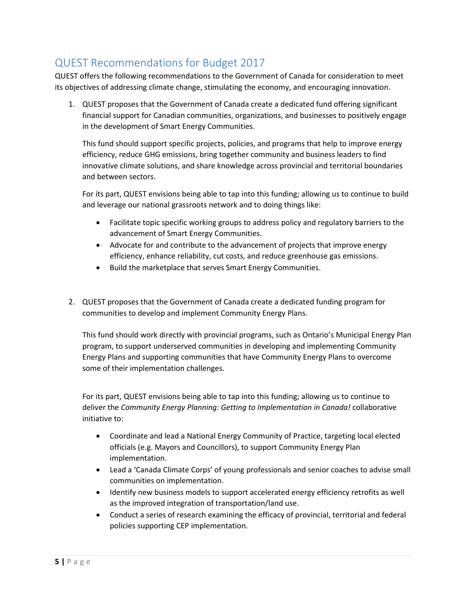## QUEST Recommendations for Budget 2017

QUEST offers the following recommendations to the Government of Canada for consideration to meet its objectives of addressing climate change, stimulating the economy, and encouraging innovation.

1. QUEST proposes that the Government of Canada create a dedicated fund offering significant financial support for Canadian communities, organizations, and businesses to positively engage in the development of Smart Energy Communities.

This fund should support specific projects, policies, and programs that help to improve energy efficiency, reduce GHG emissions, bring together community and business leaders to find innovative climate solutions, and share knowledge across provincial and territorial boundaries and between sectors.

For its part, QUEST envisions being able to tap into this funding; allowing us to continue to build and leverage our national grassroots network and to doing things like:

- Facilitate topic specific working groups to address policy and regulatory barriers to the advancement of Smart Energy Communities.
- Advocate for and contribute to the advancement of projects that improve energy efficiency, enhance reliability, cut costs, and reduce greenhouse gas emissions.
- Build the marketplace that serves Smart Energy Communities.
- 2. QUEST proposes that the Government of Canada create a dedicated funding program for communities to develop and implement Community Energy Plans.

This fund should work directly with provincial programs, such as Ontario's Municipal Energy Plan program, to support underserved communities in developing and implementing Community Energy Plans and supporting communities that have Community Energy Plans to overcome some of their implementation challenges.

For its part, QUEST envisions being able to tap into this funding; allowing us to continue to deliver the *Community Energy Planning: Getting to Implementation in Canada!* collaborative initiative to:

- Coordinate and lead a National Energy Community of Practice, targeting local elected officials (e.g. Mayors and Councillors), to support Community Energy Plan implementation.
- Lead a 'Canada Climate Corps' of young professionals and senior coaches to advise small communities on implementation.
- Identify new business models to support accelerated energy efficiency retrofits as well as the improved integration of transportation/land use.
- Conduct a series of research examining the efficacy of provincial, territorial and federal policies supporting CEP implementation.